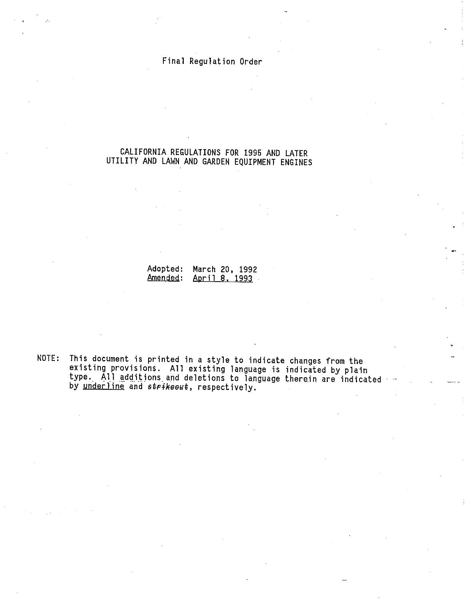## Final Regulation Order

## CALIFORNIA REGULATIONS FOR 1995 AND LATER UTILITY AND LAWN AND GARDEN EQUIPMENT ENGINES

Adopted: March 20, 1992 Amended: April 8. 1993

NOTE: This document is printed in a style to indicate changes from the existing provisions. All existing language is indicated by p type. All additions and deletions to language therein are indicat by underline and strikeout, respectively.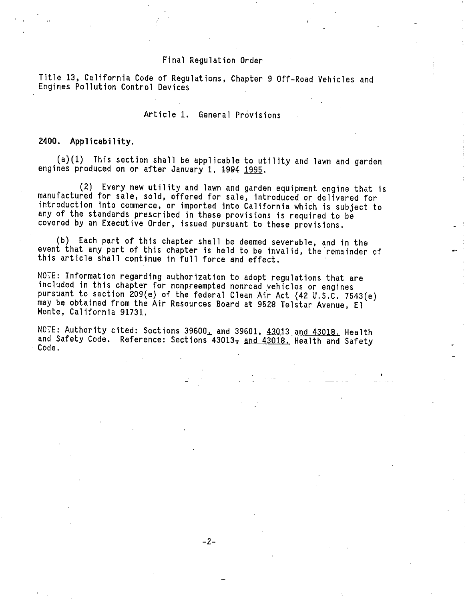#### Final Regulation Order

Title 13, California Code of Regulations, Chapter 9 Off-Road Vehicles and Engines Pollution Control Devices

#### Article 1. General Provisions

#### 2400. Applicability.

(a) (1) This section shall be applicable to utility and lawn and garden engines produced on or after January 1, 1994 1995.

(2) Every new utility and lawn and garden equipment engine that is manufactured for sale, sold, offered for sale, introduced or delivered for introduction into commerce, or imported into California which is subject to any of the standards prescribed in these provisions is required to be covered by an Executive Order, issued pursuant to these provisions.

(b) Each part of this chapter shall be deemed severable, and in the event that any part of this chapter is held to be invalid, the remainder of this article shall continue in full force and effect.

NOTE: Information regarding authorization to adopt regulations that are included in this chapter for nonpreempted nonroad vehicles or engines pursuant to section 209(e) of the federal Clean Air Act (42 U.S.C. 7543(e) may be obtained from the Air Resources Board at 9528 Telstar Avenue, El Monte, California 91731.

NOTE: Authority cited: Sections 39600, and 39601, 43013 and 43018, Health and Safety Code. Reference: Sections 43013, and 43018. Health and Safety Code.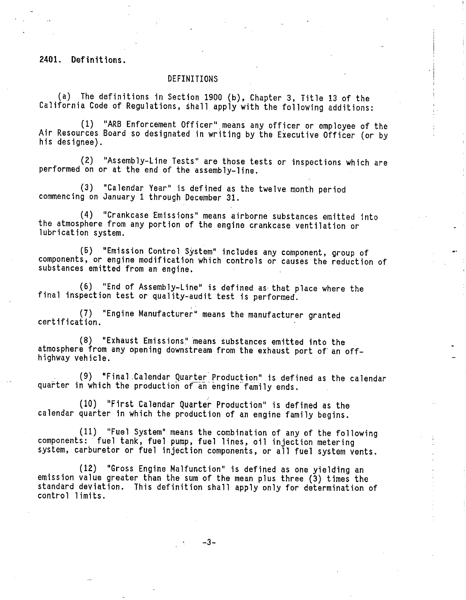2401. Definitions.

#### DEFINITIONS

(a) The definitions in Section 1900 (b), Chapter 3, Title 13 of the California Code of Regulations, shall apply with the following additions:

(1) "ARB Enforcement Officer" means any officer or employee of the Air Resources Board so designated in writing by the Executive Officer (or by his designee).

) "Assembly-Line Tests" are those tests or inspections which are performed on or at the end of the assembly-line.

(3) "Calendar Year" is defined as the twelve month period commencing on January 1 through December 31.

(4) "Crankcase Emissions" means airborne substances emitted into the atmosphere from any portion of the engine crankcase ventilation or lubrication system.

(5) "Emission Control System" includes any component, group of components, or engine modification which controls or causes the reduction of substances emitted from an engine.

(6) "End of Assembly-Line" is defined as that place where the final inspection test or quality-audit test is performed.

(7) "Engine Manufacturer" means the manufacturer granted certification.

"Exhaust Emissions" means substances emitted into the atmosphere from any opening downstream from the exhaust port of an offhighway vehicle.

(9) "Final Calendar Quarter Production" is defined as the calendar quarter in which the production of an engine family ends.

(10) "First Calendar Quarter Production" is defined as the calendar quarter in which the production of an engine family begins.

(11) "Fuel System" means the combination of any of the following components: fuel tank, fuel pump, fuel lines, oil injection metering system, carburetor or fuel injection components, or all fuel system vents.

(12) "Gross Engine Malfunction" is defined as one yielding an emission value greater than the sum of the mean plus three (3) times the standard deviation. This definition shall apply only for determination of control limits.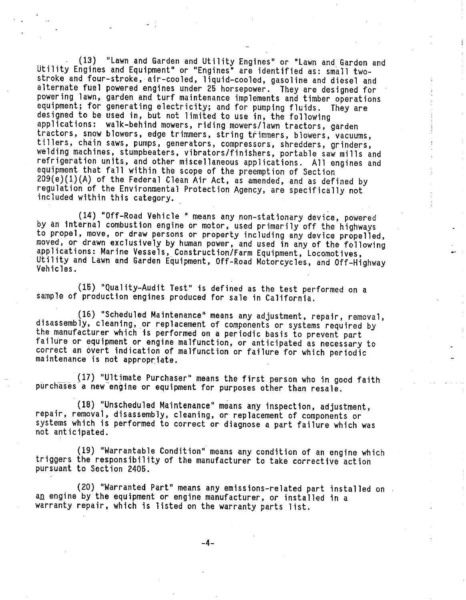(13) "Lawn\_and Garden and Utility Engines" or "Lawn and Garden and Utility Engines and Equipment" or "Engines" are identified as: small twostroke and four-stroke, air-cooled, liquid-cooled, gasoline and diesel and alternate fuel powered engines under 25 horsepower. They are designed for powering lawn, garden and turf maintenance implements and timber operations equipment; for generating electricity; and for pumping fluids. They are designed to be used in, but not limited to use in, the following applications: walk-behind mowers, riding mowers/ lawn tractors, garden tractors, snow blowers, edge trimmers, string trimmers, blowers, vacuums, tillers, chain saws, pumps, generators, compressors, shredders, grinders, welding machines, stumpbeaters, vibrators/finishers, portable saw mills and refrigeration units, and other miscellaneous applications. All engines and equipment that fall within the scope of the preemption of Section 209(e) (1)(A) of the Federal Clean Air Act, as amended, and as defined by regulation of the Environmental Protection Agency, are specifically not included within this category. .

(14) "Off-Road Vehicle " means any non-stationary device, powered by an internal combustion engine or motor, used primarily off the highways to propel, move, or draw persons or property including any device propelled, moved, or drawn exclusively by human power, and used in any of the followi applications: Marine Vessels, Construction/Farm Equipment, Locomotives, Utility and Lawn and Garden Equipment, Off-Road Motorcycles, and Off-Highway Vehicles.

(15) "Quality-Audit Test" is defined as the test performed on a sample of production engines produced for sale in California.

(16) "Scheduled Maintenance" means any adjustment, repair, removal, disassembly, cleaning, or replacement of components or systems required by the manufacturer which is performed on a periodic basis to prevent part failure or equipment or engine malfunction, or anticipated as necessary to correct an overt indication of malfunction or failure for which periodic maintenance is not appropriate.

(17) "Ultimate Purchaser" means the first person who in good faith purchases a new engine or equipment for purposes other than resale.

(18) "Unscheduled Maintenance" means any inspection, adjustment, repair, removal, disassembly, cleaning, or replacement of components or systems which is performed to correct or diagnose a part failure which was not anticipated.

(19) "Warrantable Condition" means any condition of an engine which triggers the responsibility of the manufacturer to take corrective action pursuant to Section 2405.

(20) "Warranted Part" means any emissions-related part installed on an engine by the equipment or engine manufacturer, or installed in a warranty repair, which is listed on the warranty parts list.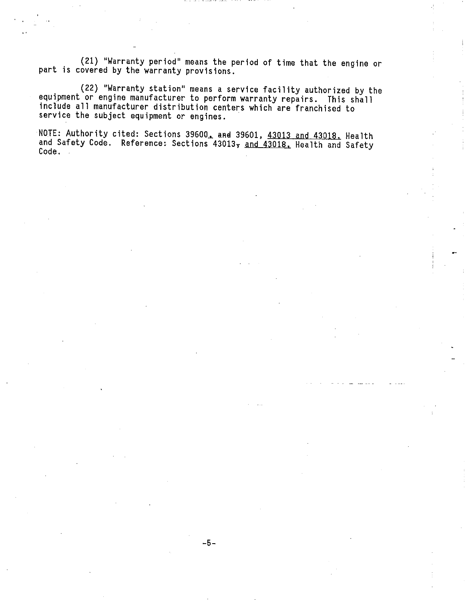(21) "Warranty period" means the period of time that the engine or part is covered by the warranty provisions.

(22) "Warranty station" means a service facility authorized b equipment or engine manufacturer to perform warranty repairs. This include all manufacturer distribution centers which are franchised to service the subject equipment or engines.

NOTE: Authority cited: Sections  $39600<sub>+</sub>$  and  $39601$ ,  $43013$  and  $43018$ . Health and Safety Code. Reference: Sections 43013, and 43018, Health and Safety Code.

-5-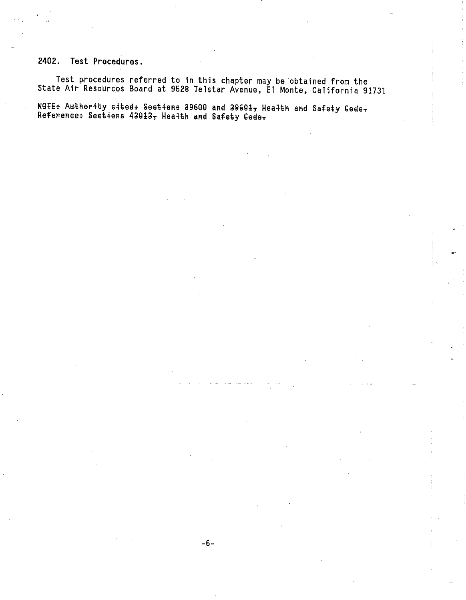## 2402. Test Procedures.

Test procedures referred to in this chapter may be obtained from the State Air Resources Board at 9528 Telstar Avenue, El Monte, California 91731

NOTE: Authority cited+ Sections 39600 and 39601, Health and Safety Gode-Reference: Sections 43013, Health and Safety Code-

-6-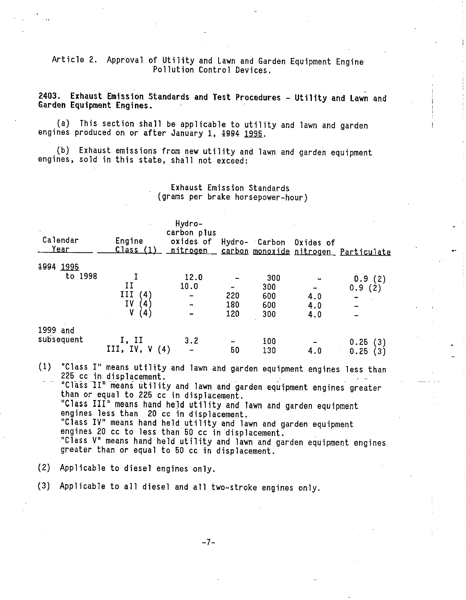Article 2. Approval of Utility and Lawn and Garden Equipment Engine Pollution Control Devices.

2403. Exhaust Emission Standards and Test Procedures - Utility and Lawn and Garden Equipment Engines.

(a) This section shall be applicable to utility and lawn and garden engines produced on or after January 1, 1994 1995.

(b) Exhaust emissions from new utility and lawn and garden equipment engines, sold in this state, shall not exceed:

Exhaust Emission Standards (grams per brake horsepower-hour )

| Calendar<br>Year | Engine<br><u> Class (1)</u> | Hydro-<br>carbon plus<br>oxides of<br><u>nitrogen</u> |     | Hydro- Carbon | Oxides of | carbon monoxide nitrogen Particulate |
|------------------|-----------------------------|-------------------------------------------------------|-----|---------------|-----------|--------------------------------------|
| 1994<br>1995     |                             |                                                       |     |               |           |                                      |
| to 1998          |                             | 12.0                                                  |     | 300           |           | 0.9(2)                               |
|                  | II                          | 10.0                                                  |     | 300           | -         | 0.9<br>(2)                           |
|                  | III<br>'4                   | $\qquad \qquad \blacksquare$                          | 220 | 600           | 4.0       |                                      |
|                  | IΥ<br>$^{\prime}$ 4.        | $\overline{\phantom{a}}$                              | 180 | 600           | 4.0       |                                      |
|                  |                             | $\overline{\phantom{a}}$                              | 120 | 300           | 4.0       |                                      |
| 1999 and         |                             |                                                       |     |               |           |                                      |
| subsequent       | I, II                       | 3.2                                                   |     | 100           |           | 0.25<br>(3)                          |
|                  | III, IV, $V(4)$             | $\overline{\phantom{a}}$                              | 50  | 130           | 4.0       | 0.25                                 |

(1) "Class I" means utility and lawn and garden equipment engines less than 225 cc in displacement.

"Class II" means utility and lawn and garden equipment engines greate than or equal to 225 cc in displacement.

'Class III" means hand held utility and lawn and garden equipment engines less than 20 cc in displacement.

"Class IV" means hand held utility and lawn and garden equipment engines 20 cc to less than 50 cc in displacement.

"Class V" means hand held utility and lawn and garden equipment engines greater than or equal to 50 cc in displacement.

(2) Applicable to diesel engines only.

(3) Applicable to all diesel and all two-stroke engines only.

-7-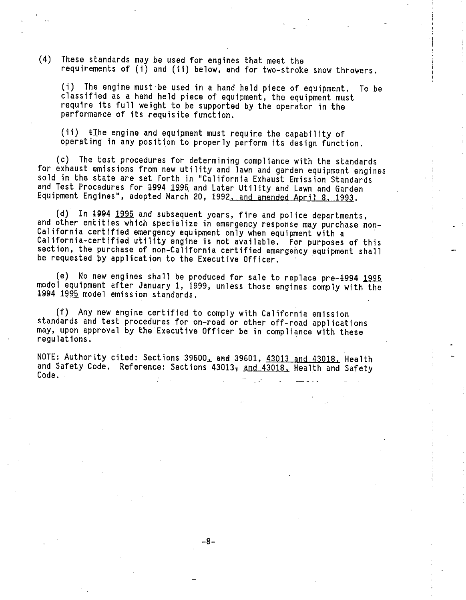(4) These standards may be used for engines that meet the requirements of (1) and (ii ) below, and for two-stroke snow throwers.

(i) The engine must be used in a hand held piece of equipment. To be classified as a hand held piece of equipment, the equipment must require its full weight to be supported by the operator in the performance of its requisite function.

 $(i)$   $\pm$  The engine and equipment must require the capability of operating in any position to properly perform its design function.

(c) The test procedures for determining compliance with the standards for exhaust emissions from new utility and lawn and garden equipment engines sold in the state are set forth in "California Exhaust Emission Standards and Test Procedures for 1994 1995 and Later Utility and Lawn and Garden Equipment Engines", adopted March 20, 1992. and amended April 8. 1993.

(d) In 1994 1995 and subsequent years, fire and police departments, and other entities which specialize in emergency response may purchase non-California certified emergency equipment only when equipment with a California-certified utility engine is not available. For purposes of this section, the purchase of non-California certified emergency equipment shall be requested by application to the Executive Officer.

(e) No new engines shall be produced for sale to replace pre-1994 1995 model equipment after January 1, 1999, unless those engines comply with the 1994 1995 model emission standards.

(f) Any new engine certified to comply with California emission standards and test procedures for on-road or other off-road applications may, upon approval by the Executive Officer be in compliance with these regulations.

NOTE: Authority cited: Sections 39600, and 39601, 43013 and 43018. Health and Safety Code. Reference: Sections 43013, and 43018. Health and Safety Code.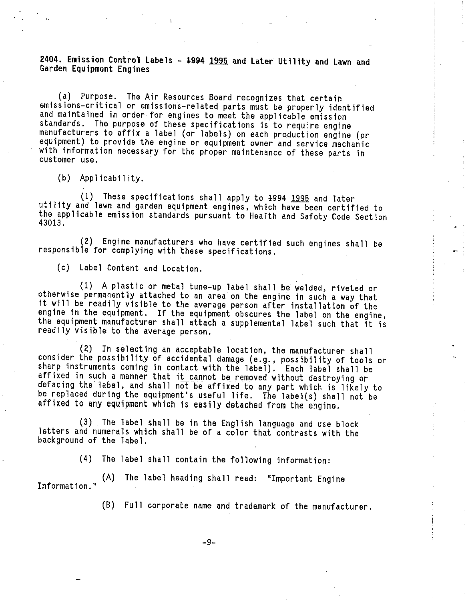## 2404. Emission Control Labels - 1994 1995 and Later Utility and Lawn and Garden Equipment Engines

(a) Purpose. The Air Resources Board recognizes that certain emissions-critical or emissions-related parts must be properly identified and maintained in order for engines to meet the applicable emission standards. The purpose of these specifications is to require engine manufacturers to affix a label (or labels ) on each production engine (or equipment) to provide the engine or equipment owner and service mechanic with information necessary for the proper maintenance of these parts in customer use.

(b) Applicability.

(1) These specifications shall apply to <del>1994 1995</del> and later<br>utility and lawn and garden equipment engines, which have been certified to the applicable emission standards pursuant to Health and Safety Code Section 43013.

(2) Engine manufacturers who have certified such engines shall be responsible for complying with these specifications.

(c) Label Content and Location.

(1) A plastic or metal tune-up label shall be welded, riveted or otherwise permanently attached to an area on the engine in such a way that it will be readily visible to the average person after installation of the engine in the equipment. If the equipment obscures the label on the engine, the equipment manufacturer shall attach a supplemental label such that it is readily visible to the average person.

(2) In selecting an acceptable location, the manufacturer shall consider the possibility of accidental damage (e.g. , possibility of tools or sharp instruments coming in contact with the label). Each label shall be affixed in such a manner that it cannot be removed without destroying or defacing the label, and shall not be affixed to any part which is likely to be replaced during the equipment's useful life. The label(s) shall not be affixed to any equipment which is easily detached from the engine.

(3) The label shall be in the English language and use block letters and numerals which shall be of a color that contrasts with the background of the label.

(4) The label shall contain the following information:

(A) The label heading shall read: "Important Engine Information. "

(B) Full corporate name and trademark of the manufacturer.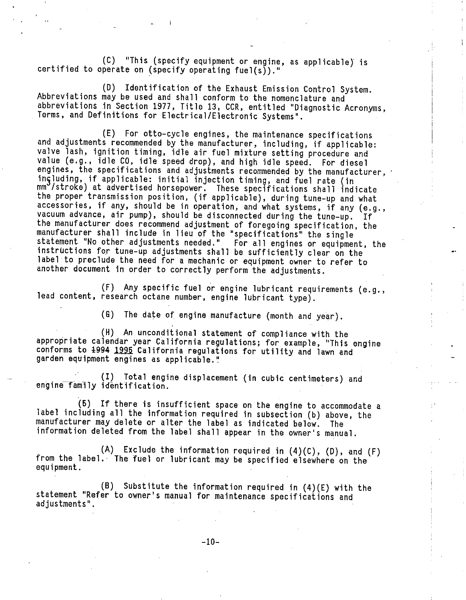(C) "This (specify equipment or engine, as applicable) is certified to operate on (specify operating fuel(s))."

(D) Identification of the Exhaust Emission Control System. Abbreviations may be used and shall conform to the nomenclature and abbreviations in Section 1977, Title 13, CCR, entitled "Diagnostic Acronyms, Terms, and Definitions for Electrical/Electronic Systems"

(E) For otto-cycle engines, the maintenance specifications and adjustments recommended by the manufacturer, including, if applicable: valve lash, ignition timing, idle air fuel mixture setting procedure and value (e.g., idle CO, idle speed drop), and high idle speed. For diesel engines, the specifications and adjustments recommended by the manufacturer, ingluding, if applicable: initial injection timing, and f mm /stroke) at advertised horsepower. These specifications shall in the proper transmission position, (if applicable), during tune-up and wh accessories, if any, should be in operation, and what systems, if any (e.g. , vacuum advance, air pump), should be disconnected during the tune-up. If the manufacturer does recommend adjustment of foregoing specification, the manufacturer shall include in lieu of the "specifications" the single statement "No other adjustments needed. " For all engines or equipment, the instructions for tune-up adjustments shall be sufficiently clear on the label to preclude the need for a mechanic or equipment owner to refer to another document in order to correctly perform the adjustments.

(F) Any specific fuel or engine lubricant requirements (e.g. , lead content, research octane number, engine lubricant type).

(G) The date of engine manufacture (month and year).

(H) An unconditional statement of compliance with the appropriate calendar year California regulations; for example, "This engine conforms to 1994 1995 California regulations for utility and lawn and garden equipment engines as applicable."

(I) Total engine displacement (in cubic centimeters) and engine family identification.

(5) If there is insufficient space on the engine to accommodate a label including all the information required in subsection (b) above, the manufacturer may delete or alter the label as indicated below. The information deleted from the label shall appear in the owner's manual.

(A) Exclude the information required in (4) (C), (D), and (F) from the label. The fuel or lubricant may be specified elsewhere on the equipment.

(B) Substitute the information required in (4) (E) with the statement "Refer to owner's manual for maintenance specifications and adjustments"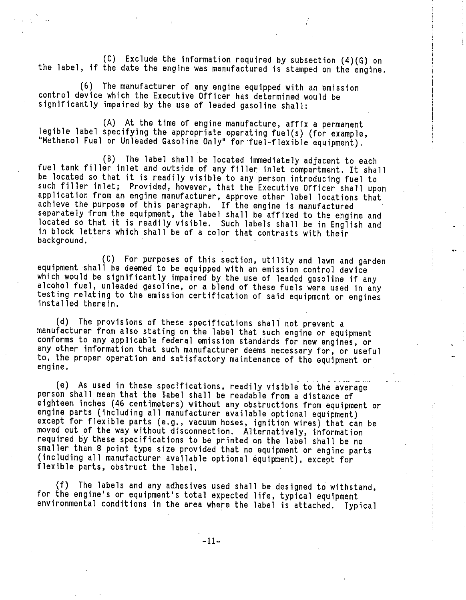(C) Exclude the information required by subsection (4) (G) on the label, if the date the engine was manufactured is stamped on the engine.

(6) The manufacturer of any engine equipped with an emission control device which the Executive Officer has determined would be significantly impaired by the use of leaded gasoline shall:

(A) At the time of engine manufacture, affix a permanent legible label specifying the appropriate operating fuel(s) (for example, "Methanol Fuel or Unleaded Gasoline Only" for fuel-flexible equipment).

(B) The label shall be located immediately adjacent to each fuel tank filler inlet and outside of any filler inlet compartment. It shall be located so that it is readily visible to any person introducing fuel to such filler inlet; Provided, however, that the Executive Officer shall upon application from an engine manufacturer, approve other label locations that achieve the purpose of this paragraph. If the engine is manufactured separately from the equipment, the label shall be affixed to the engine and located so that it is readily visible. Such labels shall be in English and in block letters which shall be of a color that contrasts with their background.

(C) For purposes of this section, utility and lawn and garden equipment shall be deemed to be equipped with an emission control device which would be significantly impaired by the use of leaded gasoline if any alcohol fuel, unleaded gasoline, or a blend of these fuels were used in any testing relating to the emission certification of said equipment or engines installed therein.

(d) The provisions of these specifications shall not prevent a manufacturer from also stating on the label that such engine or equipment conforms to any applicable federal emission standards for new engines, or any other information that such manufacturer deems necessary for, or useful to, the proper operation and satisfactory maintenance of the equipment or engine.

(e) As used in these specifications, readily visible to the average person shall mean that the label shall be readable from a distance of eighteen inches (46 centimeters) without any obstructions from equipment or engine parts (including all manufacturer available optional equipment) except for flexible parts (e.g., vacuum hoses, ignition wires) that can be moved out of the way without disconnection. Alternatively, information required by these specifications to be printed on the label shall be no smaller than 8 point type size provided that no equipment or engine parts ( including all manufacturer available optional equipment), except for flexible parts, obstruct the label.

(f) The labels and any adhesives used shall be designed to withstand, for the engine's or equipment's total expected life, typical equipment environmental conditions in the area where the label is attached. Typical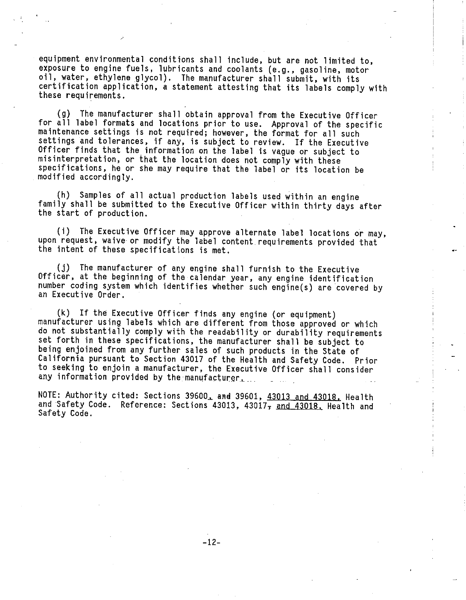equipment environmental conditions shall include, but are not limited to, exposure to engine fuels, lubricants and coolants (e.g. , gasoline, motor oil, water, ethylene glycol). The manufacturer shall submit, with its certification application, a statement attesting that its labels comply with these requirements.

(g) The manufacturer shall obtain approval from the Executive Officer for all label formats and locations prior to use. Approval of the specific maintenance settings is not required; however, the format for all such settings and tolerances, if any, is subject to review. If the Executive Officer finds that the information on the label is vague or subject to misinterpretation, or that the location does not comply with these specifications, he or she may require that the label or its location be modified accordingly.

(h) Samples of all actual production labels used within an engine family shall be submitted to the Executive Officer within thirty days after the start of production.

(i) The Executive Officer may approve alternate label locations or may, upon request, waive or modify the label content requirements provided that the intent of these specifications is met.

(j) The manufacturer of any engine shall furnish to the Executive Officer, at the beginning of the calendar year, any engine identification number coding system which identifies whether such engine(s) are covered by an Executive Order.

(k) If the Executive Officer finds any engine (or equipment) manufacturer using labels which are different from those approved or which do not substantially comply with the readability or durability requirements set forth in these specifications, the manufacturer shall be subject to being enjoined from any further sales of such products in the State of California pursuant to Section 43017 of the Health and Safety Code. Prior to seeking to enjoin a manufacturer, the Executive Officer shall consider any information provided by the manufacturer.

NOTE: Authority cited: Sections 39600, and 39601, 43013 and 43018. Health and Safety Code. Reference: Sections 43013, 43017<sub>7</sub> and 43018. Health and Safety Code.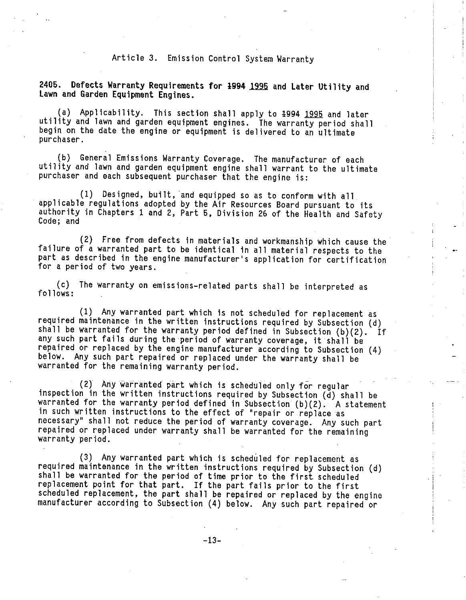#### Article 3. Emission Control System Warranty

2405. Defects Warranty Requirements for 1994 1995 and Later Utility and Lawn and Garden Equipment Engines.

(a) Applicability. This section shall apply to 1994 1995 and later utility and lawn and garden equipment engines. The warranty period shall begin on the date the engine or equipment is delivered to an ultimate purchaser .

(b) General Emissions Warranty Coverage. The manufacturer of each utility and lawn and garden equipment engine shall warrant to the ultimate purchaser and each subsequent purchaser that the engine is:

(1) Designed, built, and equipped so as to conform with all applicable regulations adopted by the Air Resources Board pursuant to its authority in Chapters 1 and 2, Part 5, Division 26 of the Health and Safety Code; and

(2) Free from defects in materials and workmanship which cause the failure of a warranted part to be identical in all material respects to the part as described in the engine manufacturer's application for certification for a period of two years.

(c) The warranty on emissions-related parts shall be interpreted as follows :

(1) Any warranted part which is not scheduled for replacement as required maintenance in the written instructions required by Subsection (d) shall be warranted for the warranty period defined in Subsection  $(b)(2)$ . If any such part fails during the period of warranty coverage, it shall be repaired or replaced by the engine manufacturer according to Subsection (4) below. Any such part repaired or replaced under the warranty shall be warranted for the remaining warranty period.

(2) Any warranted part which is scheduled only for regular inspection in the written instructions required by Subsection (d) shall be warranted for the warranty period defined in Subsection  $(b)(2)$ . A statement in such written instructions to the effect of "repair or replace as necessary" shall not reduce the period of warranty coverage. Any such part repaired or replaced under warranty shall be warranted for the remaining warranty period.

(3) Any warranted part which is scheduled for replacement as required maintenance in the written instructions required by Subsection (d) shall be warranted for the period of time prior to the first scheduled replacement point for that part. If the part fails prior to the first scheduled replacement, the part shall be repaired or replaced by the engine manufacturer according to Subsection (4) below. Any such part repaired or

-13-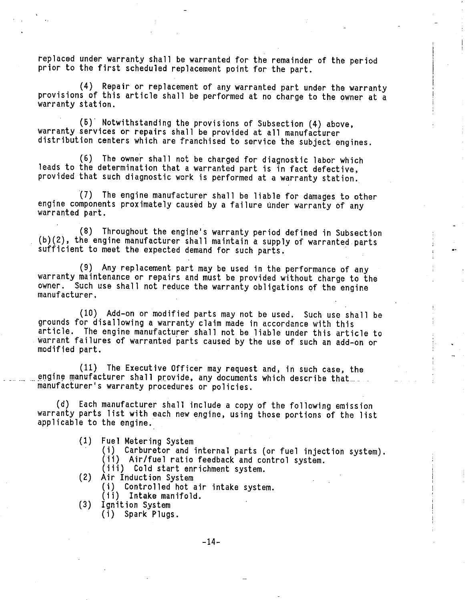replaced under warranty shall be warranted for the remainder of the period prior to the first scheduled replacement point for the part.

(4) Repair or replacement of any warranted part under the warranty provisions of this article shall be performed at no charge to the owner at a warranty station.

(5)" Notwithstanding the provisions of Subsection (4) above, warranty services or repairs shall be provided at all manufacturer distribution centers which are franchised to service the subject engines.

(6) The owner shall not be charged for diagnostic labor which leads to the determination that a warranted part is in fact defective, provided that such diagnostic work is performed at a warranty station.

(7) The engine manufacturer shall be liable for damages to other engine components proximately caused by a failure under warranty of any warranted part.

(8) Throughout the engine's warranty period defined in Subsection (b) (2), the engine manufacturer shall maintain a supply of warranted parts sufficient to meet the expected demand for such parts.

(9) Any replacement part may be used in the performance of any warranty maintenance or repairs and must be provided without charge to the owner. Such use shall not reduce the warranty obligations of the engine Such use shall not reduce the warranty obligations of the engine manufacturer .

(10) Add-on or modified parts may not be used. Such use shall be grounds for disallowing a warranty claim made in accordance with this article. The engine manufacturer shall not be liable under this article to warrant failures of warranted parts caused by the use of such an add-on or modified part.

(11) The Executive Officer may request and, in such case, the engine manufacturer shall provide, any documents which describe that.... manufacturer's warranty procedures or policies.

(d) Each manufacturer shall include a copy of the following emission warranty parts list with each new engine, using those portions of the list applicable to the engine.

- 
- (1) Fuel Metering System
	- (ii) Air/fuel ratio feedback and control system.<br>(iii) Cold start enrichment system.
	-
- (2) Air Induction System
	- (1) Controlled hot air intake system. (ii) Intake manifold.
	-
- (3) Ignition System

(i) Spark Plugs.

-14-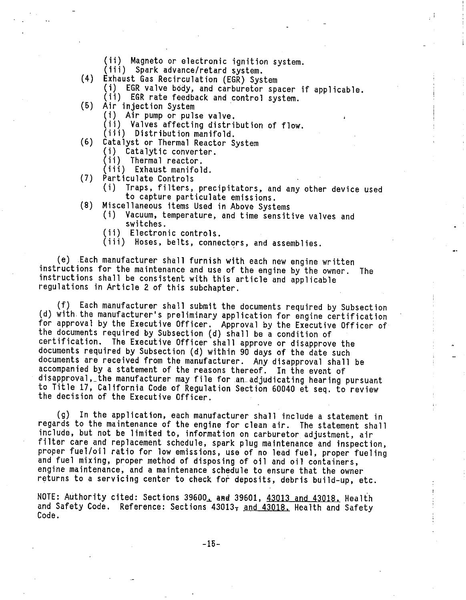- (ii) Magneto or electronic ignition system. (ifi) Spark advance/retard system. (4) Exhaust Gas Recirculation (EGR) System
	-
- 
- (1) EGR valve body, and carburetor spacer if applicable. (ii) EGR rate feedback and control system. (5) Air injection System
- - (i) Air pump or pulse valve.
	- (ii) Valves affecting distribution of flow. (iii) Distribution manifold.
	-
- (6) Catalyst or Thermal Reactor System
	- (1) Catalytic converter. (ii) Thermal reactor.
	-
	- (iii) Exhaust manifold.
- (7) Particulate Controls
	- Traps, filters, precipitators, and any other device used<br>to capture particulate emissions.
- (8) Miscellaneous items Used in Above Systems
	- Vacuum, temperature, and time sensitive valves and switches.<br>(ii) Electronic controls.
	-
	- (iii) Hoses, belts, connectors, and assemblies.

(e) Each manufacturer shall furnish with each new engine written instructions for the maintenance and use of the engine by the owner. The instructions shall be consistent with this article and applicable regulations in Article 2 of this subchapter.

(f) Each manufacturer shall submit the documents required by Subsection (d) with the manufacturer's preliminary application for engine certification for approval by the Executive Officer. Approval by the Executive Officer of the documents required by Subsection (d) shall be a condition of certification. The Executive Officer shall approve or disapprove the documents required by Subsection (d) within 90 days of the date such documents are received from the manufacturer. Any disapproval shall be accompanied by a statement of the reasons thereof. In the event of disapproval, the manufacturer may file for an adjudicating hearing pursuant to Title 17, California Code of Regulation Section 60040 et seq. to review the decision of the Executive Officer.

(g) In the application, each manufacturer shall include a statement in regards to the maintenance of the engine for clean air. The statement shall include, but not be limited to, information on carburetor adjustment, air filter care and replacement schedule, spark plug maintenance and inspection, proper fuel/oil ratio for low emissions, use of no lead fuel, proper fueling and fuel mixing, proper method of disposing of oil and oil containers, engine maintenance, and a maintenance schedule to ensure that the owner returns to a servicing center to check for deposits, debris build-up, etc.

NOTE: Authority cited: Sections 39600, and 39601, 43013 and 43018, Health and Safety Code. Reference: Sections  $43013<sub>7</sub>$  and  $43018$ . Health and Safety Code. Code. . . .. .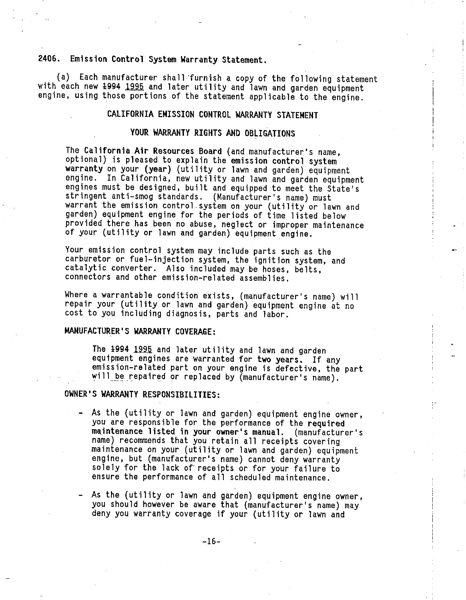## 2406. Emission Control System Warranty Statement.

(a) Each manufacturer shall furnish a copy of the following statement with each new 1994 1995 and later utility and lawn and garden equipment engine, using those portions of the statement applicable to the engine.

## CALIFORNIA EMISSION CONTROL WARRANTY STATEMENT

#### YOUR WARRANTY RIGHTS AND OBLIGATIONS

The California Air Resources Board (and manufacturer's name, optional) is pleased to explain the emission control system warranty on your (year) (utility or lawn and garden) equipment engine. In California, new utility and lawn and garden equipment engines must be designed, built and equipped to meet the State's stringent anti-smog standards. (Manufacturer's name) must warrant the emission control system on your (utility or lawn and garden) equipment engine for the periods of time listed below provided there has been no abuse, neglect or improper maintenance of your (utility or lawn and garden) equipment engine.

Your emission control system may include parts such as the carburetor or fuel-injection system, the ignition system, and catalytic converter. Also included may be hoses, belts, connectors and other emission-related assemblies.

Where a warrantable condition exists, (manufacturer's name) will repair your (utility or lawn and garden) equipment engine at no cost to you including diagnosis, parts and labor.

#### MANUFACTURER'S WARRANTY COVERAGE:

The 1994 1995 and later utility and lawn and garden equipment engines are warranted for two years. If any emission-related part on your engine is defective, the part will be repaired or replaced by (manufacturer's name).

#### OWNER'S WARRANTY RESPONSIBILITIES:

- As the (utility or lawn and garden) equipment engine owner, you are responsible for the performance of the required maintenance listed in your owner's manual. (manufacturer's name) recommends that you retain all receipts covering maintenance on your (utility or lawn and garden) equipment engine, but (manufacturer's name) cannot deny warranty solely for the lack of receipts or for your failure to ensure the performance of all scheduled maintenance.
- As the (utility or lawn and garden) equipment engine owner, you should however be aware that (manufacturer's name) may deny you warranty coverage if your (utility or lawn and

-16-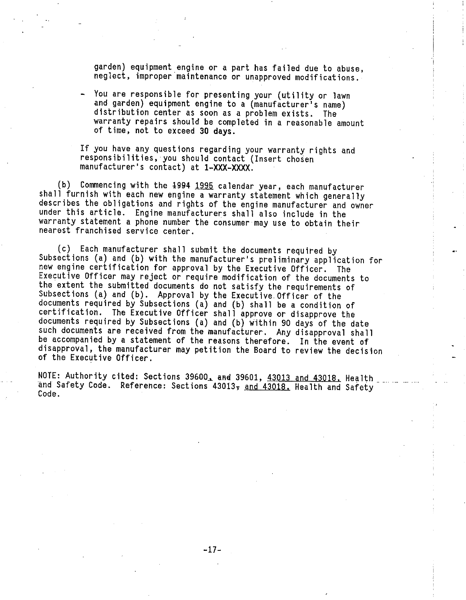garden) equipment engine or a part has failed due to abuse, neglect, improper maintenance or unapproved modifications.

You are responsible for presenting your (utility or lawn and garden) equipment engine to a (manufacturer's name) distribution center as soon as a problem exists. The warranty repairs should be completed in a reasonable amount of time, not to exceed 30 days.

If you have any questions regarding your warranty rights and responsibilities, you should contact (Insert chosen manufacturer's contact) at 1-XXX-XXXX.

(b) Commencing with the 1994 1995 calendar year, each manufacturer shall furnish with each new engine a warranty statement which generally describes the obligations and rights of the engine manufacturer and owner under this article. Engine manufacturers shall also include in the warranty statement a phone number the consumer may use to obtain their nearest franchised service center.

(c) Each manufacturer shall submit the documents required by Subsections (a) and (b) with the manufacturer's preliminary application for new engine certification for approval by the Executive Officer Executive Officer may reject or require modification of the documents t the extent the submitted documents do not satisfy the requirements of Subsections (a) and (b). Approval by the Executive Officer of the documents required by Subsections (a) and (b) shall be a condition of certification. The Executive Officer shall approve or disapprove the documents required by Subsections (a) and (b) within 90 days of the date such documents are received from the manufacturer. Any disapproval shall be accompanied by a statement of the reasons therefore. In the event of disapproval, the manufacturer may petition the Board to review the decision of the Executive Officer.

NOTE: Authority cited: Sections 39600, and 39601, 43013 and 43018. Health and Safety Code. Reference: Sections 43013, and 43018. Health and Safety Code.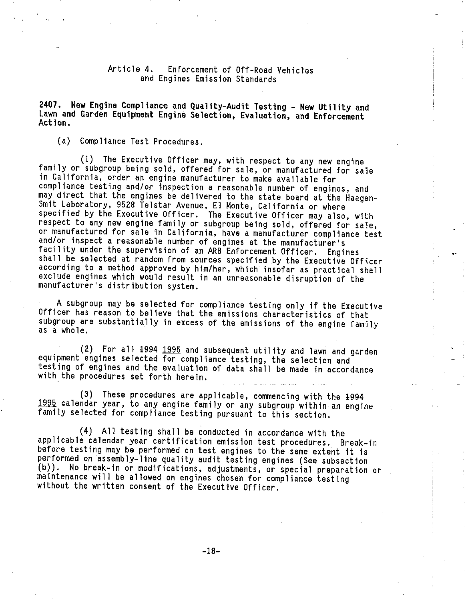#### Article 4. Enforcement of Off-Road Vehicles and Engines Emission Standards

2407. New Engine Compliance and Quality-Audit Testing - New Utility and Lawn and Garden Equipment Engine Selection, Evaluation, and Enforcement Action.

(a) Compliance Test Procedures.

(1) The Executive Officer may, with respect to any new engine family or subgroup being sold, offered for sale, or manufactured for sale in California, order an engine manufacturer to make available for compliance testing and/or inspection a reasonable number of engines, and may direct that the engines be delivered to the state board at the Haagen-Smit Laboratory, 9528 Telstar Avenue, El Monte, California or where specified by the Executive Officer. The Executive Officer may also, with respect to any new engine family or subgroup being sold, offered for sale, or manufactured for sale in California, have a manufacturer compliance test and/or inspect a reasonable number of engines at the manufacturer's facility under the supervision of an ARB Enforcement Officer. Engines shall be selected at random from sources specified by the Executive Officer according to a method approved by him/her, which insofar as practical shall exclude engines which would result in an unreasonable disruption of the manufacturer's distribution system.

A subgroup may be selected for compliance testing only if the Executive Officer has reason to believe that the emissions characteristics of that subgroup are substantially in excess of the emissions of the engine family as a whole.

(2) For all 1994 1995 and subsequent utility and lawn and garden equipment engines selected for compliance testing, the selection and testing of engines and the evaluation of data shall be made in accordance with the procedures set forth herein.

(3) These procedures are applicable, commencing with the 1994 1995 calendar year, to any engine family or any subgroup within an engine family selected for compliance testing pursuant to this section.

(4) All testing shall be conducted in accordance with the applicable calendar year certification emission test procedures. Break- in before testing may be performed on test engines to the same extent it is performed on assembly-line quality audit testing engines (See subsection (b)). No break-in or modifications, adjustments, or special preparation or maintenance will be allowed on engines chosen for compliance testing without the written consent of the Executive Officer.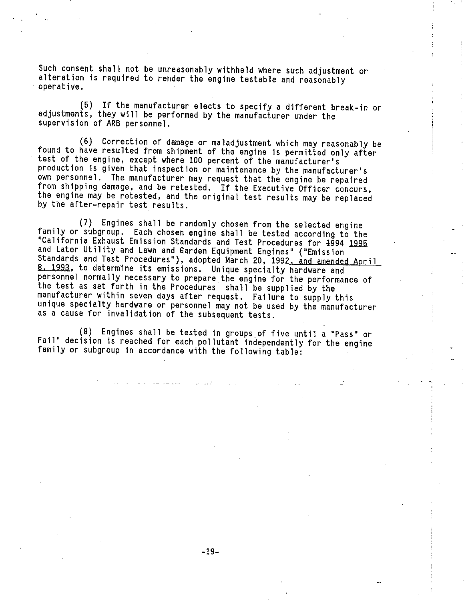Such consent shall not be unreasonably withheld where such adjustment or alteration is required to render the engine testable and reasonably operative.

5) If the manufacturer elects to specify a different break-in or adjustments, they will be performed by the manufacturer under the supervision of ARB personnel.

(6) Correction of damage or maladjustment which may reasonably be found to have resulted from shipment of the engine is permitted only after test of the engine, except where 100 percent of the manufacturer's production is given that inspection or maintenance by the manufacturer's own personnel. The manufacturer may request that the engine be repaired from shipping damage, and be retested. If the Executive Officer concurs, the engine may be retested, and the original test results may be replaced by the after-repair test results.

(7) Engines shall be randomly chosen from the selected engine family or subgroup. Each chosen engine shall be tested according to the California Exhaust Emission Standards and Test Procedures for 1994 1995 and Later Utility and Lawn and Garden Equipment Engines" ("Emission Standards and Test Procedures"), adopted March 20, 1992, and amended April 8. 1993, to determine its emissions. Unique specialty hardware and personnel normally necessary to prepare the engine for the performance of the test as set forth in the Procedures shall be supplied by the manufacturer within seven days after request. Failure to supply this unique specialty hardware or personnel may not be used by the manufacturer as a cause for invalidation of the subsequent tests.

(8) Engines shall be tested in groups of five until a "Pass" or Fail" decision is reached for each pollutant independently for the engine family or subgroup in accordance with the following table: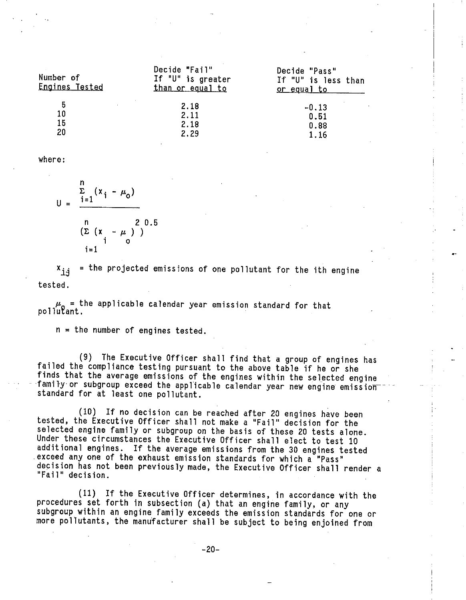| Number of<br>Engines Tested | Decide "Fail"<br>If "U" is greater<br>than or equal to | Decide "Pass"<br>If "U" is less than<br><u>or equal to se</u> |
|-----------------------------|--------------------------------------------------------|---------------------------------------------------------------|
| 5                           | 2.18                                                   | $-0.13$                                                       |
| 10                          | 2.11                                                   | 0.51                                                          |
| 15                          | 2.18                                                   | 0.88                                                          |
| 20                          | 2.29                                                   | 1.16                                                          |

where:

$$
U = \frac{\sum_{i=1}^{n} (x_i - \mu_0)}{\sum_{i=1}^{n} (x_i - \mu_0)^2}
$$

$$
i = 1
$$

 $x_{j,i}$  = the projected emissions of one pollutant for the ith engine tested.

 $\mu_0$  = the applicable calendar year emission standard for that pollutant.

n = the number of engines tested.

(9) The Executive Officer shall find that a group of engines has failed the compliance testing pursuant to the above table if he or she finds that the average emissions of the engines within the selected engine family or subgroup exceed the applicable calendar year new engine emission standard for at least one pollutant.

(10) If no decision can be reached after 20 engines have been tested, the Executive Officer shall not make a "Fail" decision for the selected engine family or subgroup on the basis of these 20 tests alone. Under these circumstances the Executive Officer shall elect to test 10 additional engines. If the average emissions from the 30 engines tested exceed any one of the exhaust emission standards for which a "Pass" decision has not been previously made, the Executive Officer shall render a "Fail" decision.

(11) If the Executive Officer determines, in accordance with the procedures set forth in subsection (a) that an engine family, or any subgroup within an engine family exceeds the emission standards for one or more pollutants, the manufacturer shall be subject to being enjoined from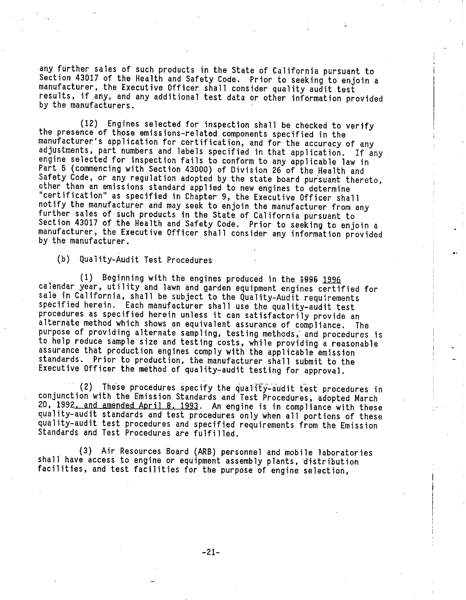any further sales of such products in the State of California pursuant to Section 43017 of the Health and Safety Code. Prior to seeking to enjoin a manufacturer, the Executive Officer shall consider quality audit test results, if any, and any additional test data or other information provided by the manufacturers.

(12) Engines selected for inspection shall be checked to verify the presence of those emissions-related components specified in the manufacturer's application for certification, and for the accuracy of any adjustments, part numbers and labels specified in that application. If any engine selected for inspection fails to conform to any applicable law in Part 5 (commencing with Section 43000) of Division 26 of the Health and Safety Code, or any regulation adopted by the state board pursuant thereto, other than an emissions standard applied to new engines to determine "certification" as specified in Chapter 9, the Executive Officer shall notify the manufacturer and may seek to enjoin the manufacturer from any further sales of such products in the State of California pursuant to Section 43017 of the Health and Safety Code. Prior to seeking to enjoin a manufacturer, the Executive Officer shall consider any information provided by the manufacturer.

(b) Quality-Audit Test Procedures

(1) Beginning with the engines produced in the 1995 1996 calendar year, utility and lawn and garden equipment engines certified for sale in California, shall be subject to the Quality-Audit requirements specified herein. Each manufacturer shall use the quality-audit test procedures as specified herein unless it can satisfactorily provide an alternate method which shows an equivalent assurance of compliance. The purpose of providing alternate sampling, testing methods, and procedures is to help reduce sample size and testing costs, while providing a reasonable assurance that production engines comply with the applicable emission standards. Prior to production, the manufacturer shall submit to the Executive Officer the method of quality-audit testing for approval.

(2) These procedures specify the quality-audit test procedures in conjunction with the Emission Standards and Test Procedures, adopted March 20, 1992. and amended April 8. 1993. An engine is in compliance with these quality-audit standards and test procedures only when all portions of these quality-audit test procedures and specified requirements from the Emission Standards and Test Procedures are fulfilled.

(3) Air Resources Board (ARB) personnel and mobile laboratories shall have access to engine or equipment assembly plants, distribution facilities, and test facilities for the purpose of engine selection,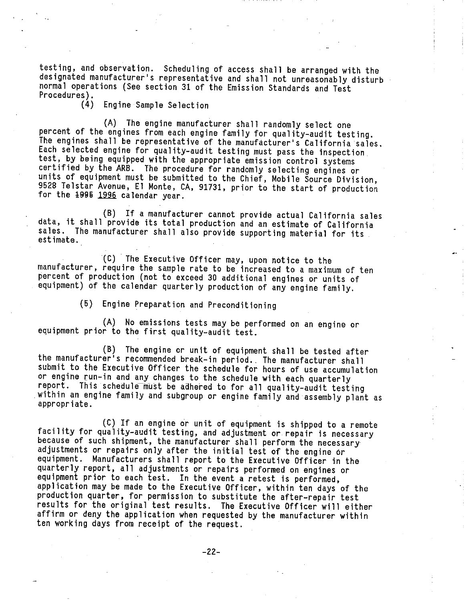testing, and observation. Scheduling of access shall be arranged with the designated manufacturer's representative and shall not unreasonably disturb normal operations (See section 31 of the Emission Standards and Test Procedures) .

Engine Sample Selection

(A) The engine manufacturer shall randomly select one percent of the engines from each engine family for quality-audit testing. The engines shall be representative of the manufacturer's California sales. Each selected engine for quality-audit testing must pass the inspection test, by being equipped with the appropriate emission control systems certified by the ARB. The procedure for randomly selecting engines or units of equipment must be submitted to the Chief, Mobile Source Division, 9528 Telstar Avenue, El Monte, CA, 91731, prior to the start of production for the 1996 1996 calendar year.

(B) If a manufacturer cannot provide actual California sales data, it shall provide its total production and an estimate of California sales. The manufacturer shall also provide supporting material for its estimate.

(C) The Executive Officer may, upon notice to the manufacturer, require the sample rate to be increased to a maximum of ten percent of production (not to exceed 30 additional engines or units of equipment) of the calendar quarterly production of any engine family.

(5) Engine Preparation and Preconditioning

(A) No emissions tests may be performed on an engine or equipment prior to the first quality-audit test.

(B) The engine or unit of equipment shall be tested after the manufacturer's recommended break-in period. . The manufacturer shall submit to the Executive Officer the schedule for hours of use accumulation or engine run-in and any changes to the schedule with each quarterly report. This schedule must be adhered to for all quality-audit testing within an engine family and subgroup or engine family and assembly plant as appropriate.

(C) If an engine or unit of equipment is shipped to a remote facility for quality-audit testing, and adjustment or repair is necessary because of such shipment, the manufacturer shall perform the necessary adjustments or repairs only after the initial test of the engine or equipment. Manufacturers shall report to the Executive Officer in the quarterly report, all adjustments or repairs performed on engines or equipment prior to each test. In the event a retest is performed, application may be made to the Executive Officer, within ten days of the production quarter, for permission to substitute the after-repair test results for the original test results. The Executive Officer will either affirm or deny the application when requested by the manufacturer within ten working days from receipt of the request.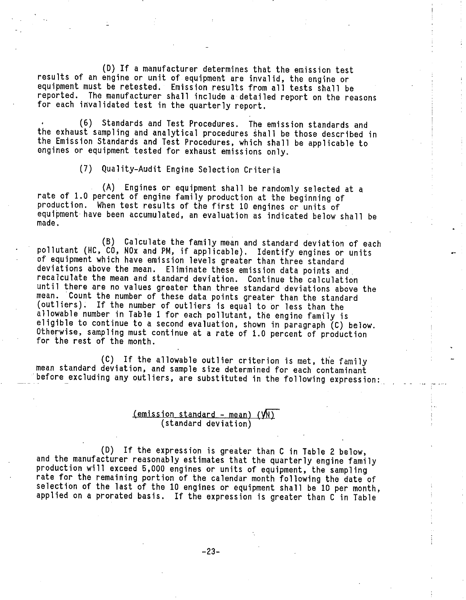(D) If a manufacturer determines that the emission test results of an engine or unit of equipment are invalid, the engine or equipment must be retested. Emission results from all tests shall be reported. The manufacturer shall include a detailed report on the reasons for each invalidated test in the quarterly report.

(6) Standards and Test Procedures. The emission standards and the exhaust sampling and analytical procedures shall be those described in the Emission Standards and Test Procedures, which shall be applicable to engines or equipment tested for exhaust emissions only.

(7) Quality-Audit Engine Selection Criteria

(A) Engines or equipment shall be randomly selected at a rate of 1.0 percent of engine family production at the beginning of production. When test results of the first 10 engines or units of equipment have been accumulated, an evaluation as indicated below shall be made .

(B) Calculate the family mean and standard deviation of each pollutant (HC, CO, NOx and PM, if applicable). Identify engines or units of equipment which have emission levels greater than three standard deviations above the mean. Eliminate these emission data points and recalculate the mean and standard deviation. Continue the calculation until there are no values greater than three standard deviations above the mean. Count the number of these data points greater than the standard (outliers) . If the number of outliers is equal to or less than the allowable number in Table 1 for each pollutant, the engine family is eligible to continue to a second evaluation, shown in paragraph (C) below. Otherwise, sampling must continue at a rate of 1.0 percent of production for the rest of the month.

(C) If the allowable outlier criterion is met, the family mean standard deviation, and sample size determined for each contaminant before excluding any outliers, are substituted in the following expression:

# $(emission standard - mean)$   $(N)$  (standard deviation)

(D) If the expression is greater than C in Table 2 below, and the manufacturer reasonably estimates that the quarterly engine family production will exceed 5,000 engines or units of equipment, the sampling rate for the remaining portion of the calendar month following the date of selection of the last of the 10 engines or equipment shall be 10 per month, applied on a prorated basis. If the expression is greater than C in Table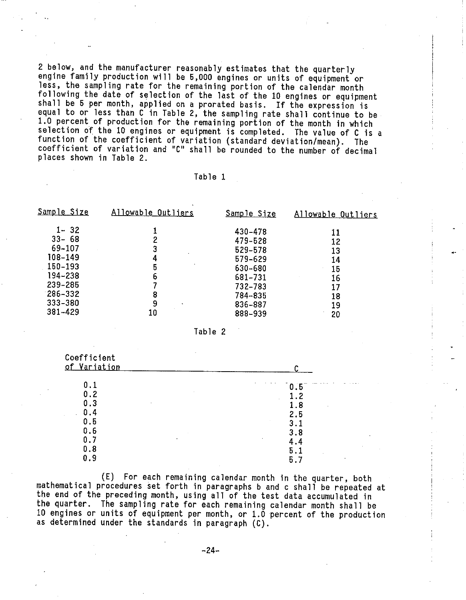2 below, and the manufacturer reasonably estimates that the quarterly engine family production will be 5,000 engines or units of equipment or less, the sampling rate for the remaining portion of the calendar month following the date of selection of the last of the 10 engines or equipment shall be 5 per month, applied on a prorated basis. If the expression is equal to or less than C in Table 2, the sampling rate shall continue to be<br>1.0 percent of production for the remaining portion of the month in which selection of the 10 engines or equipment is completed. The value of C is a function of the coefficient of variation (standard deviation/mean). The coefficient of variation and "C" shall be rounded to the number of decimal places shown in Table 2.

#### Table 1

| <u>Sample Size</u> | Allowable Outliers | <u>Sample Size</u> | Allowable Outliers |  |
|--------------------|--------------------|--------------------|--------------------|--|
| $1 - 32$           |                    | 430-478            | 11                 |  |
| $33 - 68$          |                    | 479-528            | 12                 |  |
| 69-107             |                    | 529-578            | 13                 |  |
| 108-149            | 4                  | 579-629            | 14                 |  |
| 150-193            | 5                  | 630-680            | 15                 |  |
| 194-238            | 6                  | 681-731            | 16                 |  |
| 239-285            |                    | 732-783            |                    |  |
| $286 - 332$        | 8                  | 784-835            | 18                 |  |
| $333 - 380$        | 9                  | 836-887            | 19                 |  |
| 381-429            | 10                 | 888-939            | 20                 |  |

Table 2

| Coefficient  |     |
|--------------|-----|
| of Variation |     |
| 0.1          | 0.5 |
| 0.2          | 1.2 |
| 0.3          | 1.8 |
| 0.4          | 2.5 |
| 0.5          | 3.1 |
| 0.6          | 3.8 |
| 0.7          | 4.4 |
| 0.8          | 5.1 |
| 0.9          | 5.7 |

(E) For each remaining calendar month in the quarter, both mathematical procedures set forth in paragraphs b and c shall be repeated at the end of the preceding month, using all of the test data accumulated in the quarter. The sampling rate for each remaining calendar month shall be 10 engines or units of equipment per month, or 1.0 percent of the production as determined under the standards in paragraph (C).

-24-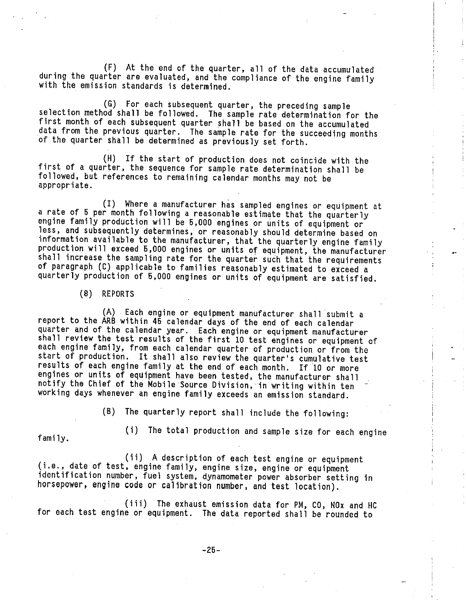(F) At the end of the quarter, all of the data accumulated during the quarter are evaluated, and the compliance of the engine family with the emission standards is determined.

(G) For each subsequent quarter, the preceding sample selection method shall be followed. The sample rate determination for the first month of each subsequent quarter shall be based on the accumulated data from the previous quarter. The sample rate for the succeeding months of the quarter shall be determined as previously set forth.

(H) If the start of production does not coincide with the first of a quarter, the sequence for sample rate determination shall be followed, but references to remaining calendar months may not be appropriate.

(I) Where a manufacturer has sampled engines or equipment at a rate of 5 per month following a reasonable estimate that the quarterly engine family production will be 5,000 engines or units of equipment or less, and subsequently determines, or reasonably should determine based on information available to the manufacturer, that the quarterly engine family production will exceed 5,000 engines or units of equipment, the manufacturer shall increase the sampling rate for the quarter such that the requirements of paragraph (C) applicable to families reasonably estimated to exceed a quarterly production of 5,000 engines or units of equipment are satisfied.

(8) REPORTS

(A) . Each engine or equipment manufacturer shall submit a report to the ARB within 45 calendar days of the end of each calendar quarter and of the calendar year. Each engine or equipment manufacturer shall review the test results of the first 10 test engines or equipment of each engine family, from each calendar quarter of production or from the start of production. It shall also review the quarter's cumulative test results of each engine family at the end of each month. If 10 or more engines or units of equipment have been tested, the manufacturer shall notify the Chief of the Mobile Source Division, in writing within ten working days whenever an engine family exceeds an emission standard.

(B) The quarterly report shall include the following:

(i) The total production and sample size for each engine family.

(ii) A description of each test engine or equipment<br>(i.e., date of test, engine family, engine size, engine or equipment identification number, fuel system, dynamometer power absorber setting in horsepower, engine code or calibration number, and test location).

(iii) The exhaust emission data for PM, CO, NOx and HC for each test engine or equipment. The data reported shall be rounded to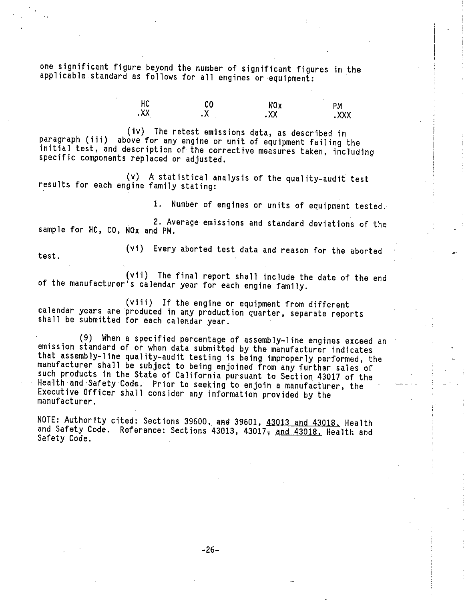one significant figure beyond the number of significant figures in the applicable standard as follows for all engines or equipment:

> TU UU NOX PM  $\overline{XX}$  .  $\overline{XX}$  .  $\overline{XX}$  .  $\overline{XX}$  .  $\overline{XX}$

(iv) The retest emissions data, as described in paragraph (iii) above for any engine or unit of equipment failing the initial test, and description of the corrective measures taken, including specific components replaced or adjusted.

(v) A statistical analysis of the quality-audit test results for each engine family stating:

1. Number of engines or units of equipment tested.

2. Average emissions and standard deviations of the sample for HC, CO, NOx and PM.

(vi) Every aborted test data and reason for the aborted test.

(vii) The final report shall include the date of the end of the manufacturer's calendar year for each engine family.

(viii) If the engine or equipment from different calendar years are produced in any production quarter, separate reports shall be submitted for each calendar year.

(9) When a specified percentage of assembly-line engines exceed an emission standard of or when data submitted by the manufacturer indicates that assembly-line quality-audit testing is being improperly performed, the manufacturer shall be subject to being enjoined from any further sales of such products in the State of California pursuant to Section 43017 of the Health and Safety Code. Prior to seeking to enjoin a manufacturer, the Executive Officer shall consider any information provided by the manufacturer.

NOTE: Authority cited: Sections 39600, and 39601, 43013 and 43018. Health and Safety Code. Reference: Sections 43013, 43017, and 43018, Health and Safety Code.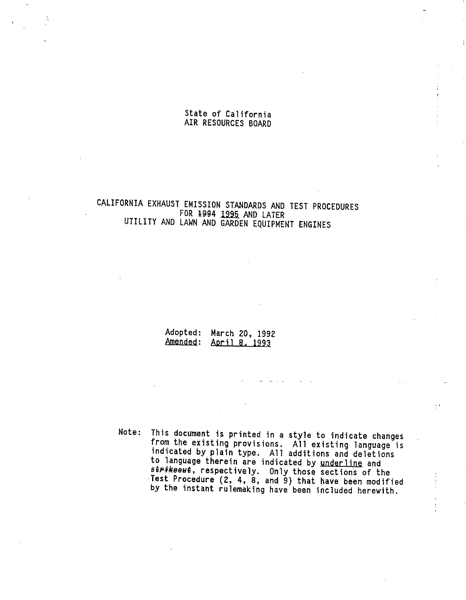## State of California AIR RESOURCES BOARD

## CALIFORNIA EXHAUST EMISSION STANDARDS AND TEST PROCEDURES FOR 1994 1995 AND LATER UTILITY AND LAWN AND GARDEN EQUIPMENT ENGINES

Adopted: March 20, 1992 Amended: April 8. 1993

Note: This document is printed in a style to indicate changes from the existing provisions. All existing langu indicated by plain type. All additions and del to language therein are indicated by underline and strikeout, respectively. Only those sections of the Test Procedure (2, 4, 8, and 9) that have been modified by the instant rulemaking have been included herewith.

- ..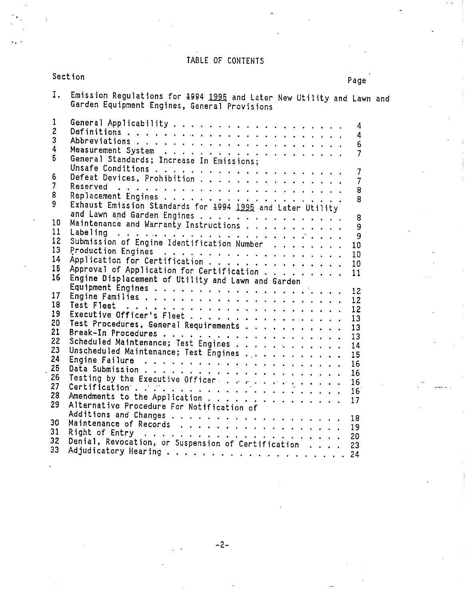## TABLE OF CONTENTS

## Section Page

| Ι.                                 | Emission Regulations for 1994 1995 and Later New Utility and Lawn and<br>Garden Equipment Engines, General Provisions                                                                                                            |  |
|------------------------------------|----------------------------------------------------------------------------------------------------------------------------------------------------------------------------------------------------------------------------------|--|
| 1<br>$\overline{c}$<br>3<br>4<br>5 | 4<br>4<br>6<br>$\overline{7}$                                                                                                                                                                                                    |  |
| 6                                  | General Standards; Increase In Emissions;<br>7<br>Defeat Devices, Prohibition<br>7                                                                                                                                               |  |
| $\overline{7}$<br>8<br>9           | 8<br>8                                                                                                                                                                                                                           |  |
| 10                                 | Exhaust Emission Standards for 1994 1995 and Later Utility<br>and Lawn and Garden Engines<br>8<br>Maintenance and Warranty Instructions<br>9                                                                                     |  |
| 11<br>12<br>13                     | 9<br>Submission of Engine Identification Number<br>10                                                                                                                                                                            |  |
| 14<br>15                           | 10<br>10<br>Approval of Application for Certification<br>11                                                                                                                                                                      |  |
| 16                                 | Engine Displacement of Utility and Lawn and Garden<br>12                                                                                                                                                                         |  |
| 17<br>18<br>19                     | 12<br>Test Fleet $\ldots \ldots \ldots \ldots \ldots \ldots \ldots \ldots \ldots$<br>12<br>Executive Officer's Fleet                                                                                                             |  |
| 20<br>21                           | 13<br>Test Procedures, General Requirements<br>13<br>13                                                                                                                                                                          |  |
| 22<br>23<br>24                     | Scheduled Maintenance; Test Engines<br>14<br>Unscheduled Maintenance; Test Engines<br>15                                                                                                                                         |  |
| 25<br>26                           | Engine Failure (Albert Research Albert Research Albert Research Albert Research Albert Research Albert Research<br>16<br>16<br>Testing by the Executive Officers and $\cdots$ is $\cdots$ if $\cdots$ is a set of $\cdots$<br>16 |  |
| 27<br>28<br>29                     | 16<br>17<br>Alternative Procedure For Notification of                                                                                                                                                                            |  |
| 30                                 | Maintenance of Records 19                                                                                                                                                                                                        |  |
| 31<br>32<br>33                     |                                                                                                                                                                                                                                  |  |

-2-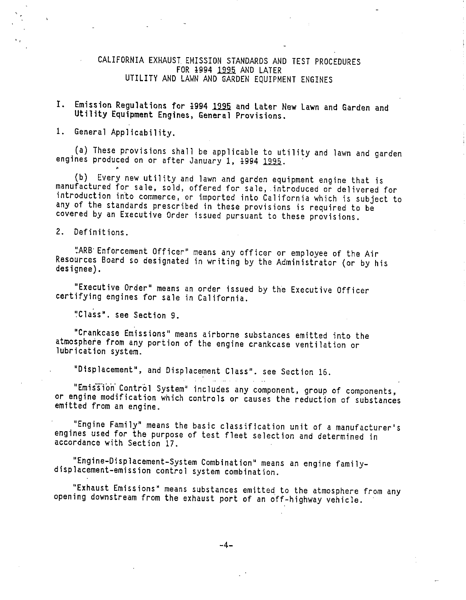#### CALIFORNIA EXHAUST EMISSION STANDARDS AND TEST PROCEDURES FOR 1994 1995 AND LATER UTILITY AND LAWN AND GARDEN EQUIPMENT ENGINES

## I. Emission Regulations for 1994 1995 and Later New Lawn and Garden and Utility Equipment Engines, General Provisions.

1. General Applicability.

(a) These provisions shall be applicable to utility and lawn and garden engines produced on or after January 1, 1994 1995.

(b) Every new utility and lawn and garden equipment engine that is manufactured for sale, sold, offered for sale, introduced or delivered for introduction into commerce, or imported into California which is subject to any of the standards prescribed in these provisions is required to be covered by an Executive Order issued pursuant to these provisions.

2. Definitions.

"ARB Enforcement Officer" means any officer or employee of the Air Resources Board so designated in writing by the Administrator (or by his designee) .

"Executive Order" means an order issued by the Executive Officer certifying engines for sale in California.

"Class". see Section 9.

'Crankcase Emissions" means airborne substances emitted into the atmosphere from any portion of the engine crankcase ventilation or lubrication system.

"Displacement", and Displacement Class". see Section 16.

"Emission Control System" includes any component, group of components, or engine modification which controls or causes the reduction of substances emitted from an engine.

and the company

"Engine Family" means the basic classification unit of a manufacturer's engines used for the purpose of test fleet selection and determined in accordance with Section 17

"Engine-Displacement-System Combination" means an engine family- displacement-emission control system combination.

"Exhaust Emissions" means substances emitted to the atmosphere from any opening downstream from the exhaust port of an off-highway vehicle.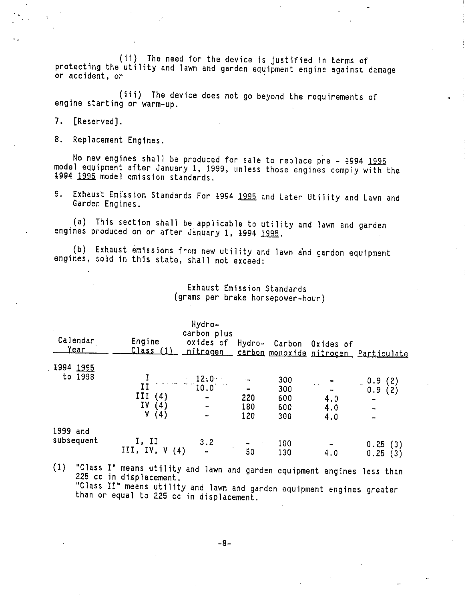(1i) The need for the device is justified in terms of protecting the utility and lawn and garden equipment engine against damage or accident, or

(iii) The device does not go beyond the requirements of engine starting or warm-up.

7. [Reserved].

8. Replacement Engines.

No new engines shall be produced for sale to replace pre - 1994 1995 model equipment after January 1, 1999, unless those engines comply with the 1994 1995 model emission standards.

9. Exhaust Emission Standards For 1994 1995 and Later Utility and Lawn and Garden Engines.

(a) This section shall be applicable to utility and lawn and garden engines produced on or after January 1, 1994 1995.

(b) Exhaust emissions from new utility and lawn and garden equipment engines, sold in this state, shall not exceed:

|  |  | Exhaust Emission Standards        |
|--|--|-----------------------------------|
|  |  | (grams per brake horsepower-hour) |

| Calendar<br><u>Year</u> | Engine<br><u> Class (1)</u>                                                                    | Hydro-<br>carbon plus<br>oxides of | Hydro-          |     | Carbon Oxides of         | nitrogen carbon monoxide nitrogen Particulate    |
|-------------------------|------------------------------------------------------------------------------------------------|------------------------------------|-----------------|-----|--------------------------|--------------------------------------------------|
| 1994 1995               |                                                                                                |                                    |                 |     |                          |                                                  |
| to 1998                 |                                                                                                | $\frac{1}{11}$ $\frac{12.0}{10.0}$ |                 | 300 |                          |                                                  |
|                         |                                                                                                |                                    |                 | 300 | $\sim$ - $\frac{1}{\pi}$ | $\begin{array}{c} 0.9 \\ 0.9 \\ (2) \end{array}$ |
|                         | III<br>$\begin{array}{cc} \text{II} & (4) \\ \text{IV} & (4) \\ \text{V} & (4) \\ \end{array}$ | $\blacksquare$                     | 220             | 600 | 4.0                      | ۰                                                |
|                         |                                                                                                | $\sim$ $\sim$                      | 180             | 600 | 4.0                      |                                                  |
|                         |                                                                                                |                                    | 120             | 300 | 4.0                      |                                                  |
| 1999 and                |                                                                                                |                                    |                 |     |                          |                                                  |
| subsequent              | I, II<br>III, IV, $V(4)$                                                                       | 3.2                                |                 | 100 |                          | 0.25<br>(3)                                      |
|                         |                                                                                                |                                    | $\overline{50}$ | 130 | 4.0                      | 0.25<br>(3)                                      |

(1) "Class I" means utility and lawn and garden equipment engines less than 225 cc in displacement.

"Class II" means utility and lawn and garden equipment engines greater than or equal to 225 cc in displacement.

-8-